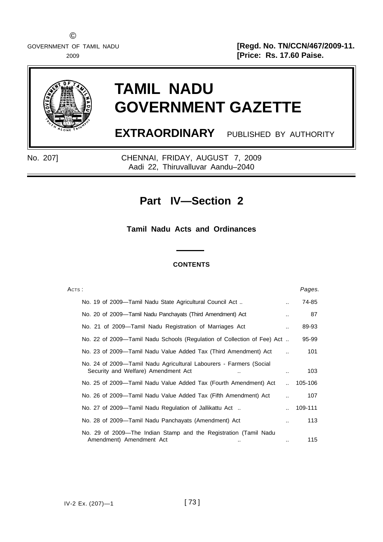GOVERNMENT OF TAMIL NADU **and the set of the set of the set of the set of the set of the set of the set of the set of the set of the set of the set of the set of the set of the set of the set of the set of the set of the s** 2009 **[Price: Rs. 17.60 Paise.**



# **TAMIL NADU GOVERNMENT GAZETTE**

**EXTRAORDINARY** PUBLISHED BY AUTHORITY

No. 207] CHENNAI, FRIDAY, AUGUST 7, 2009 Aadi 22, Thiruvalluvar Aandu–2040

# **Part IV—Section 2**

**Tamil Nadu Acts and Ordinances**

### **CONTENTS**

| Aстs :                                                                                                    |                      | Pages.  |
|-----------------------------------------------------------------------------------------------------------|----------------------|---------|
| No. 19 of 2009—Tamil Nadu State Agricultural Council Act                                                  |                      | 74-85   |
| No. 20 of 2009—Tamil Nadu Panchayats (Third Amendment) Act                                                | $\ddot{\phantom{a}}$ | 87      |
| No. 21 of 2009—Tamil Nadu Registration of Marriages Act                                                   |                      | 89-93   |
| No. 22 of 2009—Tamil Nadu Schools (Regulation of Collection of Fee) Act                                   |                      | 95-99   |
| No. 23 of 2009—Tamil Nadu Value Added Tax (Third Amendment) Act                                           |                      | 101     |
| No. 24 of 2009—Tamil Nadu Agricultural Labourers - Farmers (Social<br>Security and Welfare) Amendment Act |                      | 103     |
| No. 25 of 2009—Tamil Nadu Value Added Tax (Fourth Amendment) Act                                          | $\ddot{\phantom{a}}$ | 105-106 |
| No. 26 of 2009—Tamil Nadu Value Added Tax (Fifth Amendment) Act                                           |                      | 107     |
| No. 27 of 2009—Tamil Nadu Regulation of Jallikattu Act                                                    |                      | 109-111 |
| No. 28 of 2009—Tamil Nadu Panchayats (Amendment) Act                                                      |                      | 113     |
| No. 29 of 2009—The Indian Stamp and the Registration (Tamil Nadu<br>Amendment) Amendment Act              |                      | 115     |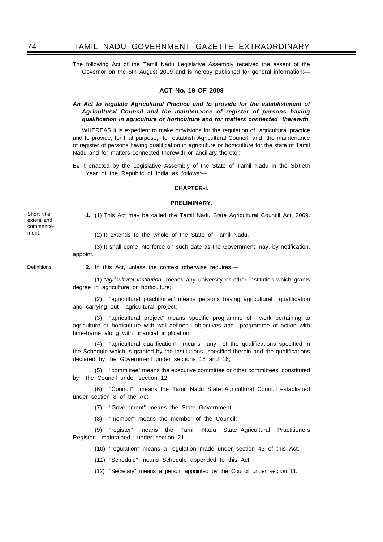The following Act of the Tamil Nadu Legislative Assembly received the assent of the Governor on the 5th August 2009 and is hereby published for general information:—

### **ACT No. 19 OF 2009**

### *An Act to regulate Agricultural Practice and to provide for the establishment of Agricultural Council and the maintenance of register of persons having qualification in agriculture or horticulture and for matters connected therewith.*

WHEREAS it is expedient to make provisions for the regulation of agricultural practice and to provide, for that purpose, to establish Agricultural Council and the maintenance of register of persons having qualification in agriculture or horticulture for the state of Tamil Nadu and for matters connected therewith or ancillary thereto ;

BE it enacted by the Legislative Assembly of the State of Tamil Nadu in the Sixtieth Year of the Republic of India as follows:—

### **CHAPTER-I.**

#### **PRELIMINARY.**

Short title, extent and commencement.

**1.** (1) This Act may be called the Tamil Nadu State Agricultural Council Act, 2009.

(2) It extends to the whole of the State of Tamil Nadu.

(3) It shall come into force on such date as the Government may, by notification, appoint.

Definitions.

**2.** In this Act, unless the context otherwise requires,—

(1) "*agricultural institution*" means any university or other institution which grants degree in agriculture or horticulture;

(2) "agricultural practitioner" means persons having agricultural qualification and carrying out agricultural project;

(3) "agricultural project" means specific programme of work pertaining to agriculture or horticulture with well-defined objectives and programme of action with time-frame along with financial implication;

(4) "agricultural qualification" means any of the qualifications specified in the Schedule which is granted by the institutions specified therein and the qualifications declared by the Government under sections 15 and 16;

(5) "committee" means the executive committee or other committees constituted by the Council under section 12;

(6) "Council" means the Tamil Nadu State Agricultural Council established under section 3 of the Act;

(7) "Government" means the State Government;

(8) "member" means the member of the Council;

(9) "register" means the Tamil Nadu State Agricultural Practitioners Register maintained under section 21;

(10) "regulation" means a regulation made under section 43 of this Act;

(11) "Schedule" means Schedule appended to this Act;

(12) "Secretary" means a person appointed by the Council under section 11.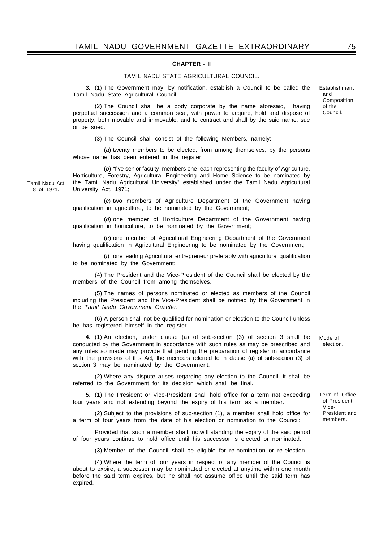### **CHAPTER - II**

### TAMIL NADU STATE AGRICULTURAL COUNCIL.

**3.** (1) The Government may, by notification, establish a Council to be called the Tamil Nadu State Agricultural Council.

(2) The Council shall be a body corporate by the name aforesaid, having perpetual succession and a common seal, with power to acquire, hold and dispose of property, both movable and immovable, and to contract and shall by the said name, sue or be sued.

(3) The Council shall consist of the following Members, namely:—

(*a*) twenty members to be elected, from among themselves, by the persons whose name has been entered in the register;

(*b*) "five senior faculty members one each representing the faculty of Agriculture, Horticulture, Forestry, Agricultural Engineering and Home Science to be nominated by the Tamil Nadu Agricultural University" established under the Tamil Nadu Agricultural University Act, 1971;

Tamil Nadu Act 8 of 1971.

> (*c*) two members of Agriculture Department of the Government having qualification in agriculture, to be nominated by the Government;

> (*d*) one member of Horticulture Department of the Government having qualification in horticulture, to be nominated by the Government;

> (*e*) one member of Agricultural Engineering Department of the Government having qualification in Agricultural Engineering to be nominated by the Government;

> (*f*) one leading Agricultural entrepreneur preferably with agricultural qualification to be nominated by the Government;

> (4) The President and the Vice-President of the Council shall be elected by the members of the Council from among themselves.

> (5) The names of persons nominated or elected as members of the Council including the President and the Vice-President shall be notified by the Government in the *Tamil Nadu Government Gazette.*

> (6) A person shall not be qualified for nomination or election to the Council unless he has registered himself in the register.

**4.** (1) An election, under clause (a) of sub-section (3) of section 3 shall be conducted by the Government in accordance with such rules as may be prescribed and any rules so made may provide that pending the preparation of register in accordance with the provisions of this Act, the members referred to in clause (a) of sub-section (3) of section 3 may be nominated by the Government.

(2) Where any dispute arises regarding any election to the Council, it shall be referred to the Government for its decision which shall be final.

**5.** (1) The President or Vice-President shall hold office for a term not exceeding four years and not extending beyond the expiry of his term as a member.

(2) Subject to the provisions of sub-section (1), a member shall hold office for a term of four years from the date of his election or nomination to the Council:

Provided that such a member shall, notwithstanding the expiry of the said period of four years continue to hold office until his successor is elected or nominated.

(3) Member of the Council shall be eligible for re-nomination or re-election.

(4) Where the term of four years in respect of any member of the Council is about to expire, a successor may be nominated or elected at anytime within one month before the said term expires, but he shall not assume office until the said term has expired.

Establishment and Composition of the Council.

Mode of election.

Term of Office of President, Vice-President and members.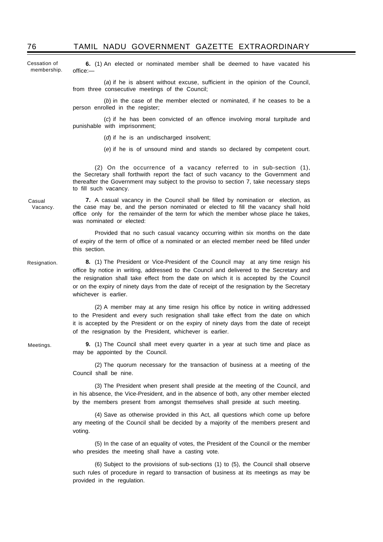Cessation of membership.

**6.** (1) An elected or nominated member shall be deemed to have vacated his office:—

(*a*) if he is absent without excuse, sufficient in the opinion of the Council, from three consecutive meetings of the Council;

(*b*) in the case of the member elected or nominated, if he ceases to be a person enrolled in the register;

(*c*) if he has been convicted of an offence involving moral turpitude and punishable with imprisonment;

(*d*) if he is an undischarged insolvent;

(*e*) if he is of unsound mind and stands so declared by competent court.

(2) On the occurrence of a vacancy referred to in sub-section (1), the Secretary shall forthwith report the fact of such vacancy to the Government and thereafter the Government may subject to the proviso to section 7, take necessary steps to fill such vacancy.

**7.** A casual vacancy in the Council shall be filled by nomination or election, as the case may be, and the person nominated or elected to fill the vacancy shall hold office only for the remainder of the term for which the member whose place he takes, was nominated or elected:

Provided that no such casual vacancy occurring within six months on the date of expiry of the term of office of a nominated or an elected member need be filled under this section.

**8.** (1) The President or Vice-President of the Council may at any time resign his office by notice in writing, addressed to the Council and delivered to the Secretary and the resignation shall take effect from the date on which it is accepted by the Council or on the expiry of ninety days from the date of receipt of the resignation by the Secretary whichever is earlier.

(2) A member may at any time resign his office by notice in writing addressed to the President and every such resignation shall take effect from the date on which it is accepted by the President or on the expiry of ninety days from the date of receipt of the resignation by the President, whichever is earlier.

**9.** (1) The Council shall meet every quarter in a year at such time and place as may be appointed by the Council.

(2) The quorum necessary for the transaction of business at a meeting of the Council shall be nine.

(3) The President when present shall preside at the meeting of the Council, and in his absence, the Vice-President, and in the absence of both, any other member elected by the members present from amongst themselves shall preside at such meeting.

(4) Save as otherwise provided in this Act, all questions which come up before any meeting of the Council shall be decided by a majority of the members present and voting.

(5) In the case of an equality of votes, the President of the Council or the member who presides the meeting shall have a casting vote.

(6) Subject to the provisions of sub-sections (1) to (5), the Council shall observe such rules of procedure in regard to transaction of business at its meetings as may be provided in the regulation.

Casual

Vacancy.

Resignation.

Meetings.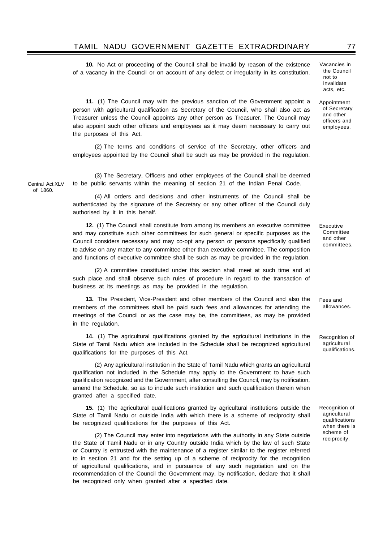**10.** No Act or proceeding of the Council shall be invalid by reason of the existence of a vacancy in the Council or on account of any defect or irregularity in its constitution.

**11.** (1) The Council may with the previous sanction of the Government appoint a person with agricultural qualification as Secretary of the Council, who shall also act as Treasurer unless the Council appoints any other person as Treasurer. The Council may also appoint such other officers and employees as it may deem necessary to carry out the purposes of this Act.

(2) The terms and conditions of service of the Secretary, other officers and employees appointed by the Council shall be such as may be provided in the regulation.

(3) The Secretary, Officers and other employees of the Council shall be deemed to be public servants within the meaning of section 21 of the Indian Penal Code.

(4) All orders and decisions and other instruments of the Council shall be authenticated by the signature of the Secretary or any other officer of the Council duly authorised by it in this behalf.

**12.** (1) The Council shall constitute from among its members an executive committee and may constitute such other committees for such general or specific purposes as the Council considers necessary and may co-opt any person or persons specifically qualified to advise on any matter to any committee other than executive committee. The composition and functions of executive committee shall be such as may be provided in the regulation.

(2) A committee constituted under this section shall meet at such time and at such place and shall observe such rules of procedure in regard to the transaction of business at its meetings as may be provided in the regulation.

**13.** The President, Vice-President and other members of the Council and also the members of the committees shall be paid such fees and allowances for attending the meetings of the Council or as the case may be, the committees, as may be provided in the regulation.

**14.** (1) The agricultural qualifications granted by the agricultural institutions in the State of Tamil Nadu which are included in the Schedule shall be recognized agricultural qualifications for the purposes of this Act.

(2) Any agricultural institution in the State of Tamil Nadu which grants an agricultural qualification not included in the Schedule may apply to the Government to have such qualification recognized and the Government, after consulting the Council, may by notification, amend the Schedule, so as to include such institution and such qualification therein when granted after a specified date.

**15.** (1) The agricultural qualifications granted by agricultural institutions outside the State of Tamil Nadu or outside India with which there is a scheme of reciprocity shall be recognized qualifications for the purposes of this Act.

(2) The Council may enter into negotiations with the authority in any State outside the State of Tamil Nadu or in any Country outside India which by the law of such State or Country is entrusted with the maintenance of a register similar to the register referred to in section 21 and for the setting up of a scheme of reciprocity for the recognition of agricultural qualifications, and in pursuance of any such negotiation and on the recommendation of the Council the Government may, by notification, declare that it shall be recognized only when granted after a specified date.

Executive **Committee** and other committees.

Fees and allowances.

Recognition of agricultural qualifications.

Recognition of agricultural qualifications when there is scheme of reciprocity.

Central Act XLV of 1860.

Vacancies in the Council not to invalidate acts, etc.

Appointment of Secretary and other officers and employees.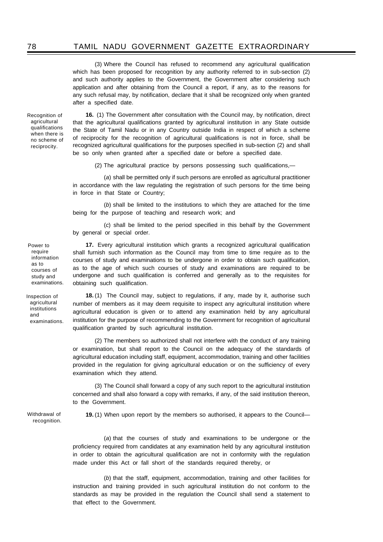(3) Where the Council has refused to recommend any agricultural qualification which has been proposed for recognition by any authority referred to in sub-section (2) and such authority applies to the Government, the Government after considering such application and after obtaining from the Council a report, if any, as to the reasons for any such refusal may, by notification, declare that it shall be recognized only when granted after a specified date.

Recognition of agricultural qualifications when there is no scheme of reciprocity.

**16.** (1) The Government after consultation with the Council may, by notification, direct that the agricultural qualifications granted by agricultural institution in any State outside the State of Tamil Nadu or in any Country outside India in respect of which a scheme of reciprocity for the recognition of agricultural qualifications is not in force, shall be recognized agricultural qualifications for the purposes specified in sub-section (2) and shall be so only when granted after a specified date or before a specified date.

(2) The agricultural practice by persons possessing such qualifications,—

(*a*) shall be permitted only if such persons are enrolled as agricultural practitioner in accordance with the law regulating the registration of such persons for the time being in force in that State or Country;

(*b*) shall be limited to the institutions to which they are attached for the time being for the purpose of teaching and research work; and

(*c*) shall be limited to the period specified in this behalf by the Government by general or special order.

**17.** Every agricultural institution which grants a recognized agricultural qualification shall furnish such information as the Council may from time to time require as to the courses of study and examinations to be undergone in order to obtain such qualification, as to the age of which such courses of study and examinations are required to be undergone and such qualification is conferred and generally as to the requisites for obtaining such qualification.

**18.** (1) The Council may, subject to regulations, if any, made by it, authorise such number of members as it may deem requisite to inspect any agricultural institution where agricultural education is given or to attend any examination held by any agricultural institution for the purpose of recommending to the Government for recognition of agricultural qualification granted by such agricultural institution.

(2) The members so authorized shall not interfere with the conduct of any training or examination, but shall report to the Council on the adequacy of the standards of agricultural education including staff, equipment, accommodation, training and other facilities provided in the regulation for giving agricultural education or on the sufficiency of every examination which they attend.

(3) The Council shall forward a copy of any such report to the agricultural institution concerned and shall also forward a copy with remarks, if any, of the said institution thereon, to the Government.

Withdrawal of recognition.

**19.** (1) When upon report by the members so authorised, it appears to the Council—

(*a*) that the courses of study and examinations to be undergone or the proficiency required from candidates at any examination held by any agricultural institution in order to obtain the agricultural qualification are not in conformity with the regulation made under this Act or fall short of the standards required thereby, or

(*b*) that the staff, equipment, accommodation, training and other facilities for instruction and training provided in such agricultural institution do not conform to the standards as may be provided in the regulation the Council shall send a statement to that effect to the Government.

Power to require information as to courses of study and examinations.

Inspection of agricultural institutions and examinations.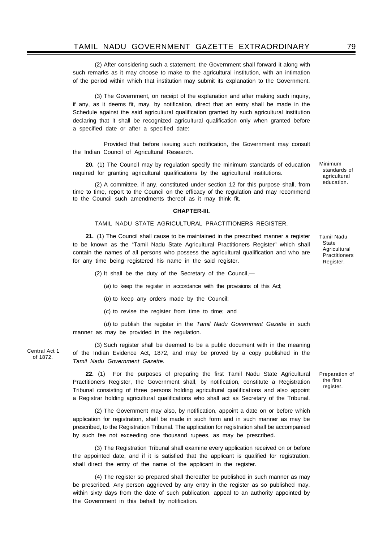(2) After considering such a statement, the Government shall forward it along with such remarks as it may choose to make to the agricultural institution, with an intimation of the period within which that institution may submit its explanation to the Government.

(3) The Government, on receipt of the explanation and after making such inquiry, if any, as it deems fit, may, by notification, direct that an entry shall be made in the Schedule against the said agricultural qualification granted by such agricultural institution declaring that it shall be recognized agricultural qualification only when granted before a specified date or after a specified date:

Provided that before issuing such notification, the Government may consult the Indian Council of Agricultural Research.

**20.** (1) The Council may by regulation specify the minimum standards of education required for granting agricultural qualifications by the agricultural institutions.

(2) A committee, if any, constituted under section 12 for this purpose shall, from time to time, report to the Council on the efficacy of the regulation and may recommend to the Council such amendments thereof as it may think fit.

#### **CHAPTER-III.**

### TAMIL NADU STATE AGRICULTURAL PRACTITIONERS REGISTER.

**21.** (1) The Council shall cause to be maintained in the prescribed manner a register to be known as the "Tamil Nadu State Agricultural Practitioners Register" which shall contain the names of all persons who possess the agricultural qualification and who are for any time being registered his name in the said register.

(2) It shall be the duty of the Secretary of the Council,—

(*a*) to keep the register in accordance with the provisions of this Act;

(*b*) to keep any orders made by the Council;

(*c*) to revise the register from time to time; and

(*d*) to publish the register in the *Tamil Nadu Government Gazette* in such manner as may be provided in the regulation.

(3) Such register shall be deemed to be a public document with in the meaning of the Indian Evidence Act, 1872, and may be proved by a copy published in the *Tamil Nadu Government Gazette.*

**22.** (1) For the purposes of preparing the first Tamil Nadu State Agricultural Practitioners Register, the Government shall, by notification, constitute a Registration Tribunal consisting of three persons holding agricultural qualifications and also appoint a Registrar holding agricultural qualifications who shall act as Secretary of the Tribunal.

(2) The Government may also, by notification, appoint a date on or before which application for registration, shall be made in such form and in such manner as may be prescribed, to the Registration Tribunal. The application for registration shall be accompanied by such fee not exceeding one thousand rupees, as may be prescribed.

(3) The Registration Tribunal shall examine every application received on or before the appointed date, and if it is satisfied that the applicant is qualified for registration, shall direct the entry of the name of the applicant in the register.

(4) The register so prepared shall thereafter be published in such manner as may be prescribed. Any person aggrieved by any entry in the register as so published may, within sixty days from the date of such publication, appeal to an authority appointed by the Government in this behalf by notification.

Central Act 1 of 1872.

Minimum standards of agricultural education.

Tamil Nadu State Agricultural Practitioners Register.

Preparation of the first register.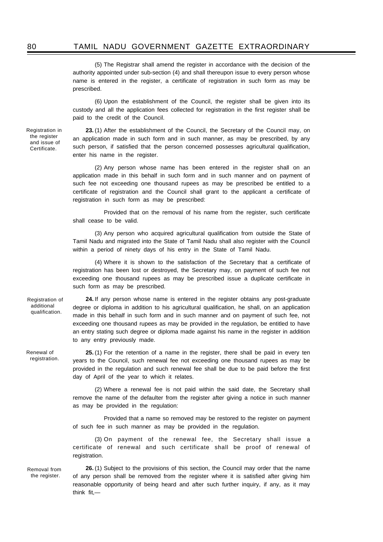(5) The Registrar shall amend the register in accordance with the decision of the authority appointed under sub-section (4) and shall thereupon issue to every person whose name is entered in the register, a certificate of registration in such form as may be prescribed.

(6) Upon the establishment of the Council, the register shall be given into its custody and all the application fees collected for registration in the first register shall be paid to the credit of the Council.

**23.** (1) After the establishment of the Council, the Secretary of the Council may, on an application made in such form and in such manner, as may be prescribed, by any such person, if satisfied that the person concerned possesses agricultural qualification, enter his name in the register.

(2) Any person whose name has been entered in the register shall on an application made in this behalf in such form and in such manner and on payment of such fee not exceeding one thousand rupees as may be prescribed be entitled to a certificate of registration and the Council shall grant to the applicant a certificate of registration in such form as may be prescribed:

Provided that on the removal of his name from the register, such certificate shall cease to be valid.

(3) Any person who acquired agricultural qualification from outside the State of Tamil Nadu and migrated into the State of Tamil Nadu shall also register with the Council within a period of ninety days of his entry in the State of Tamil Nadu.

(4) Where it is shown to the satisfaction of the Secretary that a certificate of registration has been lost or destroyed, the Secretary may, on payment of such fee not exceeding one thousand rupees as may be prescribed issue a duplicate certificate in such form as may be prescribed.

**24.** If any person whose name is entered in the register obtains any post-graduate degree or diploma in addition to his agricultural qualification, he shall, on an application made in this behalf in such form and in such manner and on payment of such fee, not exceeding one thousand rupees as may be provided in the regulation, be entitled to have an entry stating such degree or diploma made against his name in the register in addition to any entry previously made.

**25.** (1) For the retention of a name in the register, there shall be paid in every ten years to the Council, such renewal fee not exceeding one thousand rupees as may be provided in the regulation and such renewal fee shall be due to be paid before the first day of April of the year to which it relates.

(2) Where a renewal fee is not paid within the said date, the Secretary shall remove the name of the defaulter from the register after giving a notice in such manner as may be provided in the regulation:

Provided that a name so removed may be restored to the register on payment of such fee in such manner as may be provided in the regulation.

(3) On payment of the renewal fee, the Secretary shall issue a certificate of renewal and such certificate shall be proof of renewal of registration.

Removal from the register.

**26.** (1) Subject to the provisions of this section, the Council may order that the name of any person shall be removed from the register where it is satisfied after giving him reasonable opportunity of being heard and after such further inquiry, if any, as it may think fit,—

the register and issue of Certificate.

Registration of additional qualification.

Renewal of registration.

Registration in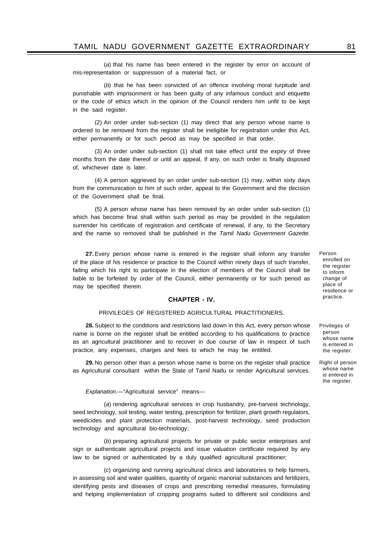(*a*) that his name has been entered in the register by error on account of mis-representation or suppression of a material fact, or

(*b*) that he has been convicted of an offence involving moral turpitude and punishable with imprisonment or has been guilty of any infamous conduct and etiquette or the code of ethics which in the opinion of the Council renders him unfit to be kept in the said register.

(2) An order under sub-section (1) may direct that any person whose name is ordered to be removed from the register shall be ineligible for registration under this Act, either permanently or for such period as may be specified in that order.

(3) An order under sub-section (1) shall not take effect until the expiry of three months from the date thereof or until an appeal, if any, on such order is finally disposed of, whichever date is later.

(4) A person aggrieved by an order under sub-section (1) may, within sixty days from the communication to him of such order, appeal to the Government and the decision of the Government shall be final.

(5) A person whose name has been removed by an order under sub-section (1) which has become final shall within such period as may be provided in the regulation surrender his certificate of registration and certificate of renewal, if any, to the Secretary and the name so removed shall be published in the *Tamil Nadu Government Gazette.*

**27.** Every person whose name is entered in the register shall inform any transfer of the place of his residence or practice to the Council within ninety days of such transfer, failing which his right to participate in the election of members of the Council shall be liable to be forfeited by order of the Council, either permanently or for such period as may be specified therein.

### **CHAPTER - IV.**

### PRIVILEGES OF REGISTERED AGRICULTURAL PRACTITIONERS.

**28.** Subject to the conditions and restrictions laid down in this Act, every person whose name is borne on the register shall be entitled according to his qualifications to practice as an agricultural practitioner and to recover in due course of law in respect of such practice, any expenses, charges and fees to which he may be entitled.

**29.** No person other than a person whose name is borne on the register shall practice as Agricultural consultant within the State of Tamil Nadu or render Agricultural services.

*Explanation*.—"Agricultural service" means—

(*a*) rendering agricultural services in crop husbandry, pre-harvest technology, seed technology, soil testing, water testing, prescription for fertilizer, plant growth regulators, weedicides and plant protection materials, post-harvest technology, seed production technology and agricultural bio-technology;

(*b*) preparing agricultural projects for private or public sector enterprises and sign or authenticate agricultural projects and issue valuation certificate required by any law to be signed or authenticated by a duly qualified agricultural practitioner;

(*c*) organizing and running agricultural clinics and laboratories to help farmers, in assessing soil and water qualities, quantity of organic manorial substances and fertilizers, identifying pests and diseases of crops and prescribing remedial measures, formulating and helping implementation of cropping programs suited to different soil conditions and

Person enrolled on the register to inform change of place of residence or practice.

Privileges of person whose name is entered in the register.

Right of person whose name is entered in the register.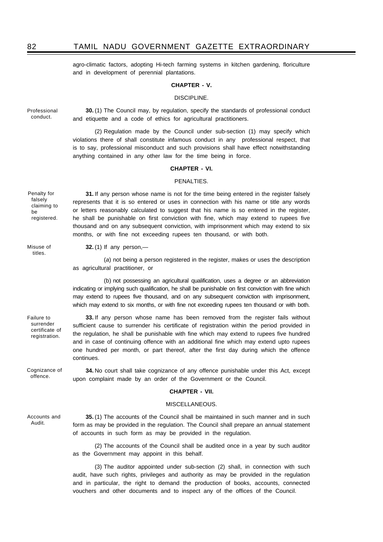agro-climatic factors, adopting Hi-tech farming systems in kitchen gardening, floriculture and in development of perennial plantations.

### **CHAPTER - V.**

### DISCIPLINE.

Professional conduct.

**30.** (1) The Council may, by regulation, specify the standards of professional conduct and etiquette and a code of ethics for agricultural practitioners.

(2) Regulation made by the Council under sub-section (1) may specify which violations there of shall constitute infamous conduct in any professional respect, that is to say, professional misconduct and such provisions shall have effect notwithstanding anything contained in any other law for the time being in force.

### **CHAPTER - VI.**

### PENALTIES.

**31.** If any person whose name is not for the time being entered in the register falsely

Penalty for falsely claiming to be registered.

Misuse of titles.

Failure to surrender certificate of registration.

represents that it is so entered or uses in connection with his name or title any words or letters reasonably calculated to suggest that his name is so entered in the register, he shall be punishable on first conviction with fine, which may extend to rupees five thousand and on any subsequent conviction, with imprisonment which may extend to six months, or with fine not exceeding rupees ten thousand, or with both.

**32.** (1) If any person,—

(*a*) not being a person registered in the register, makes or uses the description as agricultural practitioner, or

(b) not possessing an agricultural qualification, uses a degree or an abbreviation indicating or implying such qualification, he shall be punishable on first conviction with fine which may extend to rupees five thousand, and on any subsequent conviction with imprisonment, which may extend to six months, or with fine not exceeding rupees ten thousand or with both.

**33.** If any person whose name has been removed from the register fails without sufficient cause to surrender his certificate of registration within the period provided in the regulation, he shall be punishable with fine which may extend to rupees five hundred and in case of continuing offence with an additional fine which may extend upto rupees one hundred per month, or part thereof, after the first day during which the offence continues.

Cognizance of offence.

**34.** No court shall take cognizance of any offence punishable under this Act, except upon complaint made by an order of the Government or the Council.

### **CHAPTER - VII.**

#### MISCELLANEOUS.

Accounts and Audit.

**35.** (1) The accounts of the Council shall be maintained in such manner and in such form as may be provided in the regulation. The Council shall prepare an annual statement of accounts in such form as may be provided in the regulation.

(2) The accounts of the Council shall be audited once in a year by such auditor as the Government may appoint in this behalf.

(3) The auditor appointed under sub-section (2) shall, in connection with such audit, have such rights, privileges and authority as may be provided in the regulation and in particular, the right to demand the production of books, accounts, connected vouchers and other documents and to inspect any of the offices of the Council.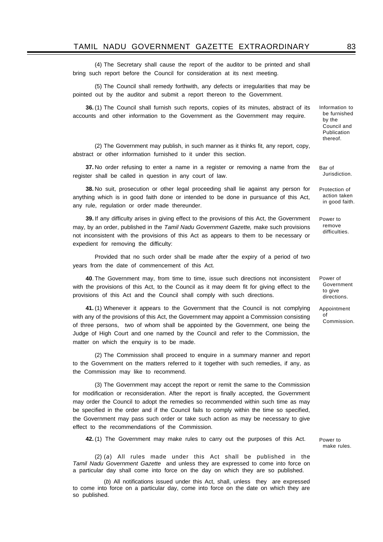(4) The Secretary shall cause the report of the auditor to be printed and shall bring such report before the Council for consideration at its next meeting.

(5) The Council shall remedy forthwith, any defects or irregularities that may be pointed out by the auditor and submit a report thereon to the Government.

**36.** (1) The Council shall furnish such reports, copies of its minutes, abstract of its accounts and other information to the Government as the Government may require.

(2) The Government may publish, in such manner as it thinks fit, any report, copy, abstract or other information furnished to it under this section.

**37.** No order refusing to enter a name in a register or removing a name from the register shall be called in question in any court of law.

**38.** No suit, prosecution or other legal proceeding shall lie against any person for anything which is in good faith done or intended to be done in pursuance of this Act, any rule, regulation or order made thereunder.

**39.** If any difficulty arises in giving effect to the provisions of this Act, the Government may, by an order, published in the *Tamil Nadu Government Gazette,* make such provisions not inconsistent with the provisions of this Act as appears to them to be necessary or expedient for removing the difficulty:

Provided that no such order shall be made after the expiry of a period of two years from the date of commencement of this Act.

**40**. The Government may, from time to time, issue such directions not inconsistent with the provisions of this Act, to the Council as it may deem fit for giving effect to the provisions of this Act and the Council shall comply with such directions.

**41.** (1) Whenever it appears to the Government that the Council is not complying with any of the provisions of this Act, the Government may appoint a Commission consisting of three persons, two of whom shall be appointed by the Government, one being the Judge of High Court and one named by the Council and refer to the Commission, the matter on which the enquiry is to be made.

(2) The Commission shall proceed to enquire in a summary manner and report to the Government on the matters referred to it together with such remedies, if any, as the Commission may like to recommend.

(3) The Government may accept the report or remit the same to the Commission for modification or reconsideration. After the report is finally accepted, the Government may order the Council to adopt the remedies so recommended within such time as may be specified in the order and if the Council fails to comply within the time so specified, the Government may pass such order or take such action as may be necessary to give effect to the recommendations of the Commission.

**42.** (1) The Government may make rules to carry out the purposes of this Act.

(2) (*a*) All rules made under this Act shall be published in the *Tamil Nadu Government Gazette* and unless they are expressed to come into force on a particular day shall come into force on the day on which they are so published.

(*b*) All notifications issued under this Act, shall, unless they are expressed to come into force on a particular day, come into force on the date on which they are so published.

Bar of Jurisdiction.

Protection of action taken in good faith.

Power to remove difficulties.

Power of Government to give directions.

Appointment of Commission.

Power to make rules.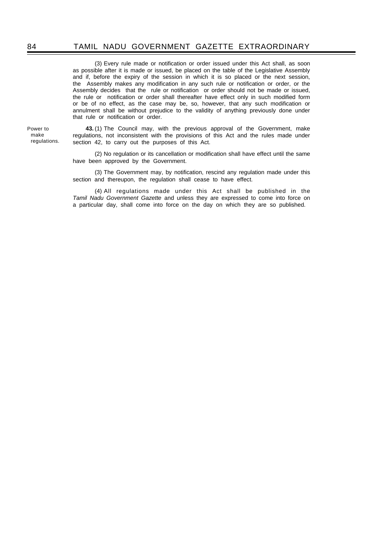### 84 TAMIL NADU GOVERNMENT GAZETTE EXTRAORDINARY

(3) Every rule made or notification or order issued under this Act shall, as soon as possible after it is made or issued, be placed on the table of the Legislative Assembly and if, before the expiry of the session in which it is so placed or the next session, the Assembly makes any modification in any such rule or notification or order, or the Assembly decides that the rule or notification or order should not be made or issued, the rule or notification or order shall thereafter have effect only in such modified form or be of no effect, as the case may be, so, however, that any such modification or annulment shall be without prejudice to the validity of anything previously done under that rule or notification or order.

Power to make regulations.

**43.** (1) The Council may, with the previous approval of the Government, make regulations, not inconsistent with the provisions of this Act and the rules made under section 42, to carry out the purposes of this Act.

(2) No regulation or its cancellation or modification shall have effect until the same have been approved by the Government.

(3) The Government may, by notification, rescind any regulation made under this section and thereupon, the regulation shall cease to have effect.

(4) All regulations made under this Act shall be published in the *Tamil Nadu Government Gazette* and unless they are expressed to come into force on a particular day, shall come into force on the day on which they are so published.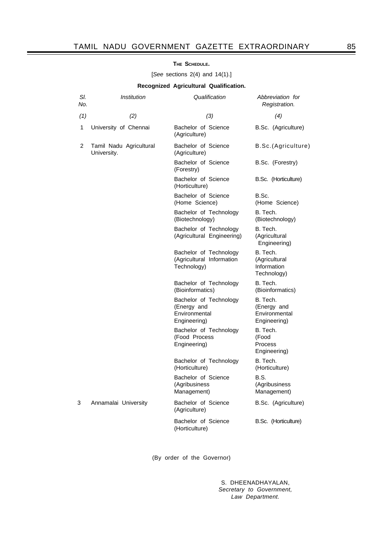### **THE SCHEDULE.**

[*See* sections 2(4) and 14(1).]

### **Recognized Agricultural Qualification.**

| SI.<br>No.   | Institution                            | Qualification                                                          | Abbreviation for<br>Registration.                        |
|--------------|----------------------------------------|------------------------------------------------------------------------|----------------------------------------------------------|
| (1)          | (2)                                    | (3)                                                                    | (4)                                                      |
| $\mathbf{1}$ | University of Chennai                  | Bachelor of Science<br>(Agriculture)                                   | B.Sc. (Agriculture)                                      |
| 2            | Tamil Nadu Agricultural<br>University. | Bachelor of Science<br>(Agriculture)                                   | B.Sc.(Agriculture)                                       |
|              |                                        | Bachelor of Science<br>(Forestry)                                      | B.Sc. (Forestry)                                         |
|              |                                        | Bachelor of Science<br>(Horticulture)                                  | B.Sc. (Horticulture)                                     |
|              |                                        | Bachelor of Science<br>(Home Science)                                  | B.Sc.<br>(Home Science)                                  |
|              |                                        | Bachelor of Technology<br>(Biotechnology)                              | B. Tech.<br>(Biotechnology)                              |
|              |                                        | Bachelor of Technology<br>(Agricultural Engineering)                   | B. Tech.<br>(Agricultural<br>Engineering)                |
|              |                                        | Bachelor of Technology<br>(Agricultural Information<br>Technology)     | B. Tech.<br>(Agricultural<br>Information<br>Technology)  |
|              |                                        | Bachelor of Technology<br>(Bioinformatics)                             | B. Tech.<br>(Bioinformatics)                             |
|              |                                        | Bachelor of Technology<br>(Energy and<br>Environmental<br>Engineering) | B. Tech.<br>(Energy and<br>Environmental<br>Engineering) |
|              |                                        | Bachelor of Technology<br>(Food Process<br>Engineering)                | B. Tech.<br>(Food<br>Process<br>Engineering)             |
|              |                                        | Bachelor of Technology<br>(Horticulture)                               | B. Tech.<br>(Horticulture)                               |
|              |                                        | Bachelor of Science<br>(Agribusiness<br>Management)                    | B.S.<br>(Agribusiness<br>Management)                     |
| 3            | Annamalai University                   | Bachelor of Science<br>(Agriculture)                                   | B.Sc. (Agriculture)                                      |
|              |                                        | Bachelor of Science<br>(Horticulture)                                  | B.Sc. (Horticulture)                                     |

(By order of the Governor)

S. DHEENADHAYALAN, *Secretary to Government, Law Department.*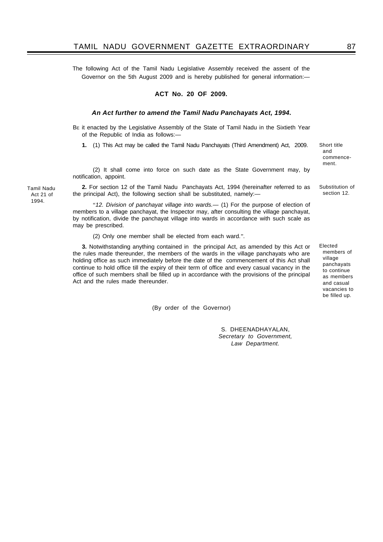The following Act of the Tamil Nadu Legislative Assembly received the assent of the Governor on the 5th August 2009 and is hereby published for general information:—

#### **ACT No. 20 OF 2009.**

#### *An Act further to amend the Tamil Nadu Panchayats Act, 1994.*

BE it enacted by the Legislative Assembly of the State of Tamil Nadu in the Sixtieth Year of the Republic of India as follows:—

**1.** (1) This Act may be called the Tamil Nadu Panchayats (Third Amendment) Act, 2009.

(2) It shall come into force on such date as the State Government may, by notification, appoint.

**2.** For section 12 of the Tamil Nadu Panchayats Act, 1994 (hereinafter referred to as the principal Act), the following section shall be substituted, namely:-

"*12. Division of panchayat village into wards.—* (1) For the purpose of election of members to a village panchayat, the Inspector may, after consulting the village panchayat, by notification, divide the panchayat village into wards in accordance with such scale as may be prescribed.

(2) Only one member shall be elected from each ward.".

**3.** Notwithstanding anything contained in the principal Act, as amended by this Act or the rules made thereunder, the members of the wards in the village panchayats who are holding office as such immediately before the date of the commencement of this Act shall continue to hold office till the expiry of their term of office and every casual vacancy in the office of such members shall be filled up in accordance with the provisions of the principal Act and the rules made thereunder.

(By order of the Governor)

S. DHEENADHAYALAN, *Secretary to Government, Law Department.*

Tamil Nadu Act 21 of 1994.

Elected

Substitution of section 12.

Short title and commencement.

members of village panchayats to continue as members and casual vacancies to be filled up.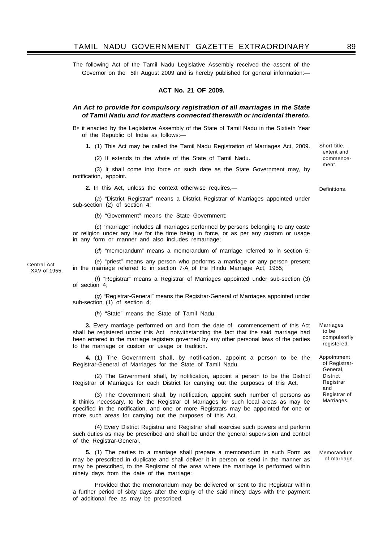The following Act of the Tamil Nadu Legislative Assembly received the assent of the Governor on the 5th August 2009 and is hereby published for general information:—

### **ACT No. 21 OF 2009.**

### *An Act to provide for compulsory registration of all marriages in the State of Tamil Nadu and for matters connected therewith or incidental thereto.*

BE it enacted by the Legislative Assembly of the State of Tamil Nadu in the Sixtieth Year of the Republic of India as follows:—

**1.** (1) This Act may be called the Tamil Nadu Registration of Marriages Act, 2009.

(2) It extends to the whole of the State of Tamil Nadu.

(3) It shall come into force on such date as the State Government may, by notification, appoint.

**2.** In this Act, unless the context otherwise requires,—

(*a*) "District Registrar" means a District Registrar of Marriages appointed under sub-section (2) of section 4;

(*b*) "Government" means the State Government;

(*c*) "marriage" includes all marriages performed by persons belonging to any caste or religion under any law for the time being in force, or as per any custom or usage in any form or manner and also includes remarriage;

(*d*) "memorandum" means a memorandum of marriage referred to in section 5;

(*e*) "priest" means any person who performs a marriage or any person present in the marriage referred to in section 7-A of the Hindu Marriage Act, 1955; XXV of 1955.

> (*f*) "Registrar" means a Registrar of Marriages appointed under sub-section (3) of section 4;

> (*g*) "Registrar-General" means the Registrar-General of Marriages appointed under sub-section (1) of section 4;

(*h*) "State" means the State of Tamil Nadu.

Central Act

**3.** Every marriage performed on and from the date of commencement of this Act shall be registered under this Act notwithstanding the fact that the said marriage had been entered in the marriage registers governed by any other personal laws of the parties to the marriage or custom or usage or tradition.

**4.** (1) The Government shall, by notification, appoint a person to be the Registrar-General of Marriages for the State of Tamil Nadu.

(2) The Government shall, by notification, appoint a person to be the District Registrar of Marriages for each District for carrying out the purposes of this Act.

(3) The Government shall, by notification, appoint such number of persons as it thinks necessary, to be the Registrar of Marriages for such local areas as may be specified in the notification, and one or more Registrars may be appointed for one or more such areas for carrying out the purposes of this Act.

(4) Every District Registrar and Registrar shall exercise such powers and perform such duties as may be prescribed and shall be under the general supervision and control of the Registrar-General.

**5.** (1) The parties to a marriage shall prepare a memorandum in such Form as may be prescribed in duplicate and shall deliver it in person or send in the manner as may be prescribed, to the Registrar of the area where the marriage is performed within ninety days from the date of the marriage:

Provided that the memorandum may be delivered or sent to the Registrar within a further period of sixty days after the expiry of the said ninety days with the payment of additional fee as may be prescribed.

Marriages to be compulsorily registered.

Appointment of Registrar-General, District Registrar and Registrar of Marriages.

Memorandum of marriage.

commencement.

Short title, extent and

Definitions.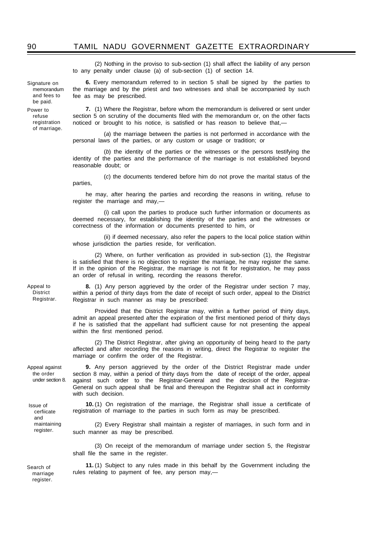Signature on memorandum and fees to be paid. Power to

refuse registration of marriage.

(2) Nothing in the proviso to sub-section (1) shall affect the liability of any person to any penalty under clause (a) of sub-section (1) of section 14.

**6.** Every memorandum referred to in section 5 shall be signed by the parties to the marriage and by the priest and two witnesses and shall be accompanied by such

fee as may be prescribed. **7.** (1) Where the Registrar, before whom the memorandum is delivered or sent under

section 5 on scrutiny of the documents filed with the memorandum or, on the other facts noticed or brought to his notice, is satisfied or has reason to believe that,—

(*a*) the marriage between the parties is not performed in accordance with the personal laws of the parties, or any custom or usage or tradition; or

(*b*) the identity of the parties or the witnesses or the persons testifying the identity of the parties and the performance of the marriage is not established beyond reasonable doubt; or

(*c*) the documents tendered before him do not prove the marital status of the parties,

he may, after hearing the parties and recording the reasons in writing, refuse to register the marriage and may,—

(i) call upon the parties to produce such further information or documents as deemed necessary, for establishing the identity of the parties and the witnesses or correctness of the information or documents presented to him, or

(ii) if deemed necessary, also refer the papers to the local police station within whose jurisdiction the parties reside, for verification.

(2) Where, on further verification as provided in sub-section (1), the Registrar is satisfied that there is no objection to register the marriage, he may register the same. If in the opinion of the Registrar, the marriage is not fit for registration, he may pass an order of refusal in writing, recording the reasons therefor.

Appeal to District Registrar.

**8.** (1) Any person aggrieved by the order of the Registrar under section 7 may, within a period of thirty days from the date of receipt of such order, appeal to the District Registrar in such manner as may be prescribed:

Provided that the District Registrar may, within a further period of thirty days, admit an appeal presented after the expiration of the first mentioned period of thirty days if he is satisfied that the appellant had sufficient cause for not presenting the appeal within the first mentioned period.

(2) The District Registrar, after giving an opportunity of being heard to the party affected and after recording the reasons in writing, direct the Registrar to register the marriage or confirm the order of the Registrar.

Appeal against the order under section 8.

Issue of cerfiicate and maintaining register.

**9.** Any person aggrieved by the order of the District Registrar made under section 8 may, within a period of thirty days from the date of receipt of the order, appeal against such order to the Registrar-General and the decision of the Registrar-General on such appeal shall be final and thereupon the Registrar shall act in conformity with such decision.

**10.** (1) On registration of the marriage, the Registrar shall issue a certificate of registration of marriage to the parties in such form as may be prescribed.

(2) Every Registrar shall maintain a register of marriages, in such form and in such manner as may be prescribed.

(3) On receipt of the memorandum of marriage under section 5, the Registrar shall file the same in the register.

**11.** (1) Subject to any rules made in this behalf by the Government including the rules relating to payment of fee, any person may,-

Search of marriage register.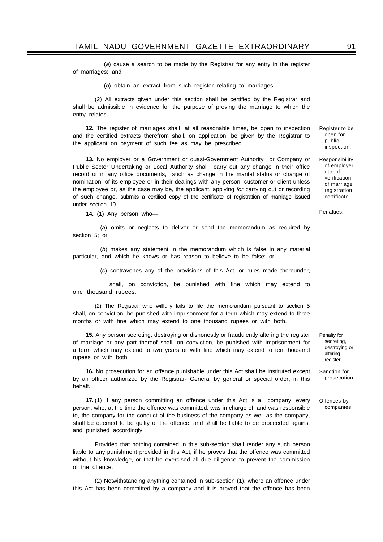(*a*) cause a search to be made by the Registrar for any entry in the register of marriages; and

(*b*) obtain an extract from such register relating to marriages.

(2) All extracts given under this section shall be certified by the Registrar and shall be admissible in evidence for the purpose of proving the marriage to which the entry relates.

**12.** The register of marriages shall, at all reasonable times, be open to inspection and the certified extracts therefrom shall, on application, be given by the Registrar to the applicant on payment of such fee as may be prescribed.

**13.** No employer or a Government or quasi-Government Authority or Company or Public Sector Undertaking or Local Authority shall carry out any change in their office record or in any office documents, such as change in the marital status or change of nomination, of its employee or in their dealings with any person, customer or client unless the employee or, as the case may be, the applicant, applying *for* carrying out or recording of such change, submits a certified copy of the certificate of registration of marriage issued under section 10.

**14.** (1) Any person who—

(*a*) omits or neglects to deliver or send the memorandum as required by section 5; or

(*b*) makes any statement in the memorandum which is false in any material particular, and which he knows or has reason to believe to be false; or

(*c*) contravenes any of the provisions of this Act, or rules made thereunder,

shall, on conviction, be punished with fine which may extend to one thousand rupees.

(2) The Registrar who willfully fails to file the memorandum pursuant to section 5 shall, on conviction, be punished with imprisonment for a term which may extend to three months or with fine which may extend to one thousand rupees or with both.

**15.** Any person secreting, destroying or dishonestly or fraudulently altering the register of marriage or any part thereof shall, on conviction, be punished with imprisonment for a term which may extend to two years or with fine which may extend to ten thousand rupees or with both.

**16.** No prosecution for an offence punishable under this Act shall be instituted except by an officer authorized by the Registrar- General by general or special order, in this behalf.

**17.** (1) If any person committing an offence under this Act is a company, every person, who, at the time the offence was committed, was in charge of, and was responsible to, the company for the conduct of the business of the company as well as the company, shall be deemed to be guilty of the offence, and shall be liable to be proceeded against and punished accordingly:

Provided that nothing contained in this sub-section shall render any such person liable to any punishment provided in this Act, if he proves that the offence was committed without his knowledge, or that he exercised all due diligence to prevent the commission of the offence.

(2) Notwithstanding anything contained in sub-section (1), where an offence under this Act has been committed by a company and it is proved that the offence has been

Penalty for secreting, destroying or altering register.

Sanction for prosecution.

Offences by companies.

Responsibility of employer, etc. of verification of marriage registration certificate.

Register to be open for public inspection.

Penalties.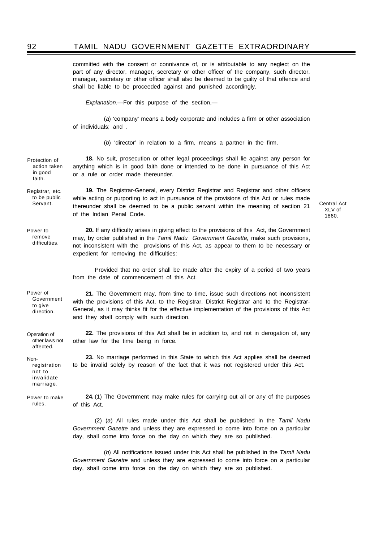### 92 TAMIL NADU GOVERNMENT GAZETTE EXTRAORDINARY

committed with the consent or connivance of, or is attributable to any neglect on the part of any director, manager, secretary or other officer of the company, such director, manager, secretary or other officer shall also be deemed to be guilty of that offence and shall be liable to be proceeded against and punished accordingly.

*Explanation.*—For this purpose of the section,—

(*a*) 'company' means a body corporate and includes a firm or other association of individuals; and .

(*b*) 'director' in relation to a firm, means a partner in the firm.

**18.** No suit, prosecution or other legal proceedings shall lie against any person for anything which is in good faith done or intended to be done in pursuance of this Act or a rule or order made thereunder. Protection of action taken in good faith.

**19.** The Registrar-General, every District Registrar and Registrar and other officers while acting or purporting to act in pursuance of the provisions of this Act or rules made thereunder shall be deemed to be a public servant within the meaning of section 21 of the Indian Penal Code. Registrar, etc. to be public

Central Act XLV of 1860.

Power to remove difficulties.

Servant.

**20.** If any difficulty arises in giving effect to the provisions of this Act, the Government may, by order published in the *Tamil Nadu Government Gazette,* make such provisions, not inconsistent with the provisions of this Act, as appear to them to be necessary or expedient for removing the difficulties:

Provided that no order shall be made after the expiry of a period of two years from the date of commencement of this Act.

Power of Government to give direction.

**21.** The Government may, from time to time, issue such directions not inconsistent with the provisions of this Act, to the Registrar, District Registrar and to the Registrar-General, as it may thinks fit for the effective implementation of the provisions of this Act and they shall comply with such direction.

**22.** The provisions of this Act shall be in addition to, and not in derogation of, any other law for the time being in force. Operation of other laws not affected.

> **23.** No marriage performed in this State to which this Act applies shall be deemed to be invalid solely by reason of the fact that it was not registered under this Act.

Power to make rules.

registration not to invalidate marriage.

Non-

**24.** (1) The Government may make rules for carrying out all or any of the purposes of this Act.

(2) (*a*) All rules made under this Act shall be published in the *Tamil Nadu Government Gazette* and unless they are expressed to come into force on a particular day, shall come into force on the day on which they are so published.

(*b*) All notifications issued under this Act shall be published in the *Tamil Nadu Government Gazette* and unless they are expressed to come into force on a particular day, shall come into force on the day on which they are so published.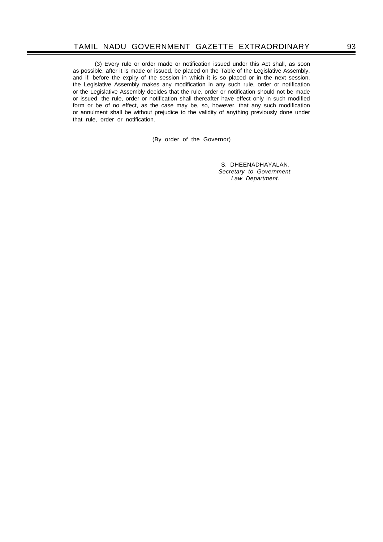(3) Every rule or order made or notification issued under this Act shall, as soon as possible, after it is made or issued, be placed on the Table of the Legislative Assembly, and if, before the expiry of the session in which it is so placed or in the next session, the Legislative Assembly makes any modification in any such rule, order or notification or the Legislative Assembly decides that the rule, order or notification should not be made or issued, the rule, order or notification shall thereafter have effect only in such modified form or be of no effect, as the case may be, so, however, that any such modification or annulment shall be without prejudice to the validity of anything previously done under that rule, order or notification.

(By order of the Governor)

S. DHEENADHAYALAN, *Secretary to Government, Law Department.*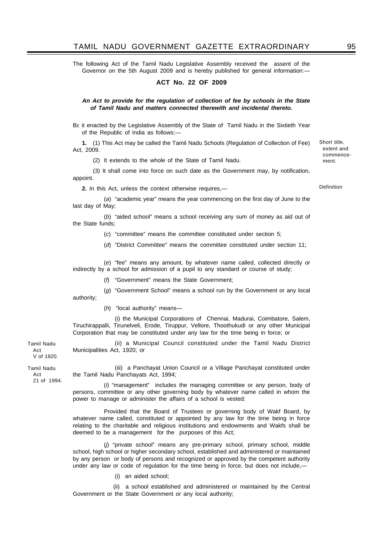### TAMIL NADU GOVERNMENT GAZETTE EXTRAORDINARY 95

The following Act of the Tamil Nadu Legislative Assembly received the assent of the Governor on the 5th August 2009 and is hereby published for general information:-

### **ACT No. 22 OF 2009**

### *An Act to provide for the regulation of collection of fee by schools in the State of Tamil Nadu and matters connected therewith and incidental thereto.*

BE it enacted by the Legislative Assembly of the State of Tamil Nadu in the Sixtieth Year of the Republic of India as follows:—

**1.** (1) This Act may be called the Tamil Nadu Schools (Regulation of Collection of Fee) Act, 2009.

(2) It extends to the whole of the State of Tamil Nadu.

(3) It shall come into force on such date as the Government may, by notification, appoint.

**2.** In this Act, unless the context otherwise requires,—

(*a*) "academic year" means the year commencing on the first day of June to the last day of May;

(*b*) "aided school" means a school receiving any sum of money as aid out of the State funds;

(*c*) "committee" means the committee constituted under section 5;

(*d*) "District Committee" means the committee constituted under section 11;

(*e*) "fee" means any amount, by whatever name called, collected directly or indirectly by a school for admission of a pupil to any standard or course of study;

(*f*) "Government" means the State Government;

(*g*) "Government School" means a school run by the Government or any local

authority;

(*h*) "local authority" means—

(i) the Municipal Corporations of Chennai, Madurai, Coimbatore, Salem, Tiruchirappalli, Tirunelveli, Erode, Tiruppur, Vellore, Thoothukudi or any other Municipal Corporation that may be constituted under any law for the time being in force; or

(ii) a Municipal Council constituted under the Tamil Nadu District Municipalities Act, 1920; or

Act V of 1920.

Tamil Nadu

Tamil Nadu Act 21 of 1994.

(iii) a Panchayat Union Council or a Village Panchayat constituted under the Tamil Nadu Panchayats Act, 1994;

(*i*) "management" includes the managing committee or any person, body of persons, committee or any other governing body by whatever name called in whom the power to manage or administer the affairs of a school is vested:

Provided that the Board of Trustees or governing body of Wakf Board, by whatever name called, constituted or appointed by any law for the time being in force relating to the charitable and religious institutions and endowments and Wakfs shall be deemed to be a management for the purposes of this Act;

(*j*) "private school" means any pre-primary school, primary school, middle school, high school or higher secondary school, established and administered or maintained by any person or body of persons and recognized or approved by the competent authority under any law or code of regulation for the time being in force, but does not include,—

(i) an aided school;

 (ii) a school established and administered or maintained by the Central Government or the State Government or any local authority;

Definition

Short title, extent and commencement.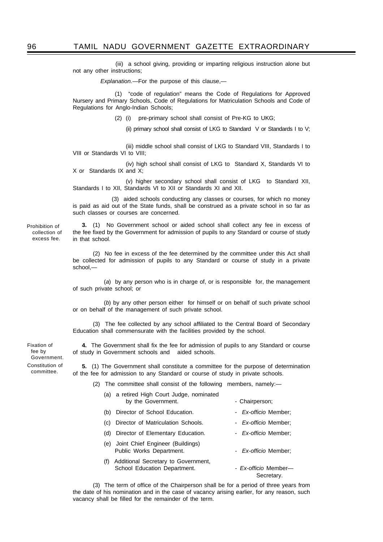(iii) a school giving, providing or imparting religious instruction alone but not any other instructions;

 *Explanation.*—For the purpose of this clause,—

(1) "code of regulation" means the Code of Regulations for Approved Nursery and Primary Schools, Code of Regulations for Matriculation Schools and Code of Regulations for Anglo-Indian Schools;

(2) (i) pre-primary school shall consist of Pre-KG to UKG;

(ii) primary school shall consist of LKG to Standard V or Standards I to V;

(iii) middle school shall consist of LKG to Standard VIII, Standards I to VIII or Standards VI to VIII;

(iv) high school shall consist of LKG to Standard X, Standards VI to X or Standards IX and X;

(v) higher secondary school shall consist of LKG to Standard XII, Standards I to XII, Standards VI to XII or Standards XI and XII.

 (3) aided schools conducting any classes or courses, for which no money is paid as aid out of the State funds, shall be construed as a private school in so far as such classes or courses are concerned.

Prohibition of collection of excess fee.

**3.** (1) No Government school or aided school shall collect any fee in excess of the fee fixed by the Government for admission of pupils to any Standard or course of study in that school.

(2) No fee in excess of the fee determined by the committee under this Act shall be collected for admission of pupils to any Standard or course of study in a private school -

(*a*) by any person who is in charge of, or is responsible for, the management of such private school; or

(*b*) by any other person either for himself or on behalf of such private school or on behalf of the management of such private school.

(3) The fee collected by any school affiliated to the Central Board of Secondary Education shall commensurate with the facilities provided by the school.

**4.** The Government shall fix the fee for admission of pupils to any Standard or course of study in Government schools and aided schools.

Constitution of committee. Fixation of fee by Government.

**5.** (1) The Government shall constitute a committee for the purpose of determination of the fee for admission to any Standard or course of study in private schools.

(2) The committee shall consist of the following members, namely:—

- (a) a retired High Court Judge, nominated by the Government. The state of the Chairperson;
- (b) Director of School Education. *Ex-officio* Member;
- (c) Director of Matriculation Schools. *Ex-officio* Member;
- (d) Director of Elementary Education. Ex-officio Member;
- (e) Joint Chief Engineer (Buildings) Public Works Department. - **Ex-officio** Member;
- (f) Additional Secretary to Government, School Education Department. - *Ex-officio* Member-

Secretary.

(3) The term of office of the Chairperson shall be for a period of three years from the date of his nomination and in the case of vacancy arising earlier, for any reason, such vacancy shall be filled for the remainder of the term.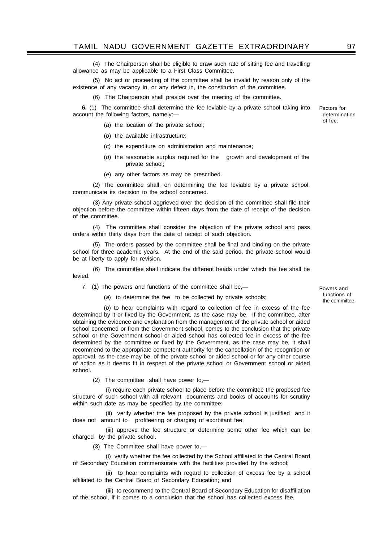(4) The Chairperson shall be eligible to draw such rate of sitting fee and travelling allowance as may be applicable to a First Class Committee.

(5) No act or proceeding of the committee shall be invalid by reason only of the existence of any vacancy in, or any defect in, the constitution of the committee.

(6) The Chairperson shall preside over the meeting of the committee.

**6.** (1) The committee shall determine the fee leviable by a private school taking into account the following factors, namely:—

(*a*) the location of the private school;

- (*b*) the available infrastructure;
- (*c*) the expenditure on administration and maintenance;
- (*d*) the reasonable surplus required for the growth and development of the private school;
- (*e*) any other factors as may be prescribed.

(2) The committee shall, on determining the fee leviable by a private school, communicate its decision to the school concerned.

(3) Any private school aggrieved over the decision of the committee shall file their objection before the committee within fifteen days from the date of receipt of the decision of the committee.

(4) The committee shall consider the objection of the private school and pass orders within thirty days from the date of receipt of such objection.

(5) The orders passed by the committee shall be final and binding on the private school for three academic years. At the end of the said period, the private school would be at liberty to apply for revision.

(6) The committee shall indicate the different heads under which the fee shall be levied.

7. (1) The powers and functions of the committee shall be,—

(*a*) to determine the fee to be collected by private schools;

(*b*) to hear complaints with regard to collection of fee in excess of the fee determined by it or fixed by the Government, as the case may be. If the committee, after obtaining the evidence and explanation from the management of the private school or aided school concerned or from the Government school, comes to the conclusion that the private school or the Government school or aided school has collected fee in excess of the fee determined by the committee or fixed by the Government, as the case may be, it shall recommend to the appropriate competent authority for the cancellation of the recognition or approval, as the case may be, of the private school or aided school or for any other course of action as it deems fit in respect of the private school or Government school or aided school.

(2) The committee shall have power to,—

(i) require each private school to place before the committee the proposed fee structure of such school with all relevant documents and books of accounts for scrutiny within such date as may be specified by the committee;

(ii) verify whether the fee proposed by the private school is justified and it does not amount to profiteering or charging of exorbitant fee;

(iii) approve the fee structure or determine some other fee which can be charged by the private school.

(3) The Committee shall have power to,—

(i) verify whether the fee collected by the School affiliated to the Central Board of Secondary Education commensurate with the facilities provided by the school;

(ii) to hear complaints with regard to collection of excess fee by a school affiliated to the Central Board of Secondary Education; and

(iii) to recommend to the Central Board of Secondary Education for disaffiliation of the school, if it comes to a conclusion that the school has collected excess fee.

Factors for determination of fee.

Powers and functions of the committee.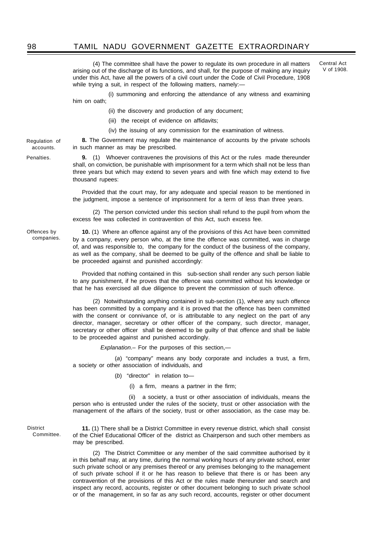### 98 TAMIL NADU GOVERNMENT GAZETTE EXTRAORDINARY

(4) The committee shall have the power to regulate its own procedure in all matters arising out of the discharge of its functions, and shall, for the purpose of making any inquiry under this Act, have all the powers of a civil court under the Code of Civil Procedure, 1908 while trying a suit, in respect of the following matters, namely:-

Central Act V of 1908.

(i) summoning and enforcing the attendance of any witness and examining him on oath;

(ii) the discovery and production of any document;

- (iii) the receipt of evidence on affidavits;
- (iv) the issuing of any commission for the examination of witness.

**8.** The Government may regulate the maintenance of accounts by the private schools in such manner as may be prescribed. Regulation of

> **9.** (1) Whoever contravenes the provisions of this Act or the rules made thereunder shall, on conviction, be punishable with imprisonment for a term which shall not be less than three years but which may extend to seven years and with fine which may extend to five thousand rupees:

> Provided that the court may, for any adequate and special reason to be mentioned in the judgment, impose a sentence of imprisonment for a term of less than three years.

> (2) The person convicted under this section shall refund to the pupil from whom the excess fee was collected in contravention of this Act, such excess fee.

Offences by companies.

accounts. Penalties.

> **10.** (1) Where an offence against any of the provisions of this Act have been committed by a company, every person who, at the time the offence was committed, was in charge of, and was responsible to, the company for the conduct of the business of the company, as well as the company, shall be deemed to be guilty of the offence and shall be liable to be proceeded against and punished accordingly:

> Provided that nothing contained in this sub-section shall render any such person liable to any punishment, if he proves that the offence was committed without his knowledge or that he has exercised all due diligence to prevent the commission of such offence.

> (2) Notwithstanding anything contained in sub-section (1), where any such offence has been committed by a company and it is proved that the offence has been committed with the consent or connivance of, or is attributable to any neglect on the part of any director, manager, secretary or other officer of the company, such director, manager, secretary or other officer shall be deemed to be guilty of that offence and shall be liable to be proceeded against and punished accordingly.

> > *Explanation*.– For the purposes of this section,—

(*a*) "company" means any body corporate and includes a trust, a firm, a society or other association of individuals, and

(*b*) "director" in relation to—

(i) a firm, means a partner in the firm;

 (ii) a society, a trust or other association of individuals, means the person who is entrusted under the rules of the society, trust or other association with the management of the affairs of the society, trust or other association, as the case may be.

**District** Committee.

**11.** (1) There shall be a District Committee in every revenue district, which shall consist of the Chief Educational Officer of the district as Chairperson and such other members as may be prescribed.

(2) The District Committee or any member of the said committee authorised by it in this behalf may, at any time, during the normal working hours of any private school, enter such private school or any premises thereof or any premises belonging to the management of such private school if it or he has reason to believe that there is or has been any contravention of the provisions of this Act or the rules made thereunder and search and inspect any record, accounts, register or other document belonging to such private school or of the management, in so far as any such record, accounts, register or other document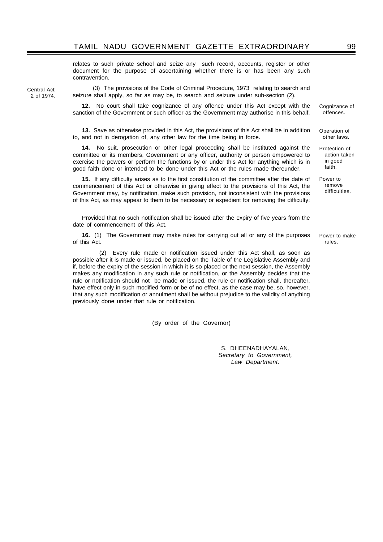relates to such private school and seize any such record, accounts, register or other document for the purpose of ascertaining whether there is or has been any such contravention.

Central Act 2 of 1974.

(3) The provisions of the Code of Criminal Procedure, 1973 relating to search and seizure shall apply, so far as may be, to search and seizure under sub-section (2).

**12.** No court shall take cognizance of any offence under this Act except with the sanction of the Government or such officer as the Government may authorise in this behalf.

**13.** Save as otherwise provided in this Act, the provisions of this Act shall be in addition to, and not in derogation of, any other law for the time being in force.

**14.** No suit, prosecution or other legal proceeding shall be instituted against the committee or its members, Government or any officer, authority or person empowered to exercise the powers or perform the functions by or under this Act for anything which is in good faith done or intended to be done under this Act or the rules made thereunder.

**15.** If any difficulty arises as to the first constitution of the committee after the date of commencement of this Act or otherwise in giving effect to the provisions of this Act, the Government may, by notification, make such provision, not inconsistent with the provisions of this Act, as may appear to them to be necessary or expedient for removing the difficulty:

Provided that no such notification shall be issued after the expiry of five years from the date of commencement of this Act.

**16.** (1) The Government may make rules for carrying out all or any of the purposes of this Act.

 (2) Every rule made or notification issued under this Act shall, as soon as possible after it is made or issued, be placed on the Table of the Legislative Assembly and if, before the expiry of the session in which it is so placed or the next session, the Assembly makes any modification in any such rule or notification, or the Assembly decides that the rule or notification should not be made or issued, the rule or notification shall, thereafter, have effect only in such modified form or be of no effect, as the case may be, so, however, that any such modification or annulment shall be without prejudice to the validity of anything previously done under that rule or notification.

(By order of the Governor)

S. DHEENADHAYALAN, *Secretary to Government, Law Department.*

Cognizance of offences.

Operation of other laws.

Protection of action taken in good faith.

Power to remove difficulties.

Power to make rules.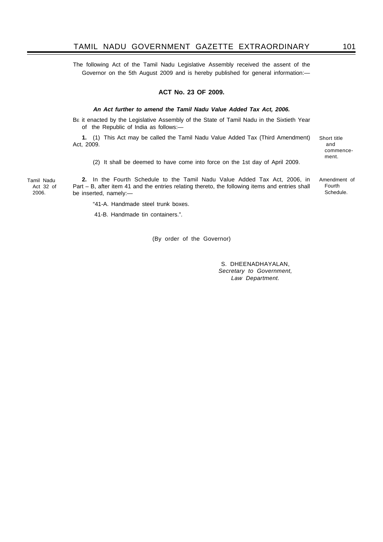### TAMIL NADU GOVERNMENT GAZETTE EXTRAORDINARY 101

The following Act of the Tamil Nadu Legislative Assembly received the assent of the Governor on the 5th August 2009 and is hereby published for general information:—

### **ACT No. 23 OF 2009.**

### *An Act further to amend the Tamil Nadu Value Added Tax Act, 2006.*

BE it enacted by the Legislative Assembly of the State of Tamil Nadu in the Sixtieth Year of the Republic of India as follows:—

**1.** (1) This Act may be called the Tamil Nadu Value Added Tax (Third Amendment) Act, 2009.

(2) It shall be deemed to have come into force on the 1st day of April 2009.

Tamil Nadu Act 32 of 2006.

**2.** In the Fourth Schedule to the Tamil Nadu Value Added Tax Act, 2006, in Part – B, after item 41 and the entries relating thereto, the following items and entries shall be inserted, namely:—

and commencement.

Short title

Amendment of Fourth Schedule.

"41-A. Handmade steel trunk boxes.

41-B. Handmade tin containers.".

(By order of the Governor)

S. DHEENADHAYALAN, *Secretary to Government, Law Department.*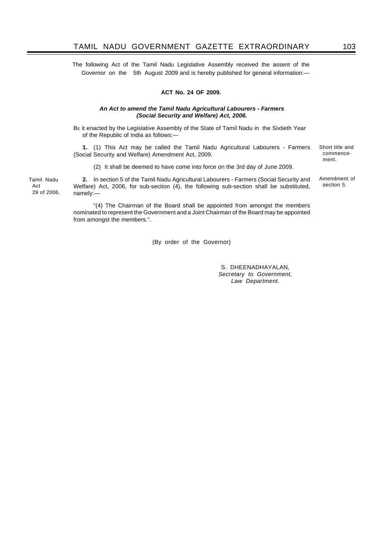The following Act of the Tamil Nadu Legislative Assembly received the assent of the Governor on the 5th August 2009 and is hereby published for general information:—

### **ACT No. 24 OF 2009.**

### *An Act to amend the Tamil Nadu Agricultural Labourers - Farmers (Social Security and Welfare) Act, 2006.*

BE it enacted by the Legislative Assembly of the State of Tamil Nadu in the Sixtieth Year of the Republic of India as follows:—

**1.** (1) This Act may be called the Tamil Nadu Agricultural Labourers - Farmers (Social Security and Welfare) Amendment Act, 2009.

(2) It shall be deemed to have come into force on the 3rd day of June 2009.

**2.** In section 5 of the Tamil Nadu Agricultural Labourers - Farmers (Social Security and Welfare) Act, 2006, for sub-section (4), the following sub-section shall be substituted, namely:—

"(4) The Chairman of the Board shall be appointed from amongst the members nominated to represent the Government and a Joint Chairman of the Board may be appointed from amongst the members.".

(By order of the Governor)

S. DHEENADHAYALAN, *Secretary to Government, Law Department.*

Tamil Nadu Act 29 of 2006. Short title and commencement.

Amendment of section 5.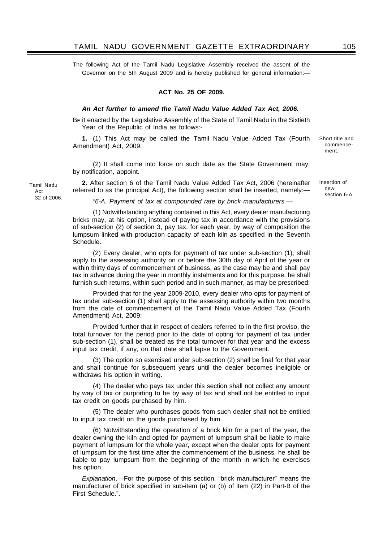The following Act of the Tamil Nadu Legislative Assembly received the assent of the Governor on the 5th August 2009 and is hereby published for general information:—

### **ACT No. 25 OF 2009.**

### *An Act further to amend the Tamil Nadu Value Added Tax Act, 2006.*

BE it enacted by the Legislative Assembly of the State of Tamil Nadu in the Sixtieth Year of the Republic of India as follows:-

**1.** (1) This Act may be called the Tamil Nadu Value Added Tax (Fourth Amendment) Act, 2009.

(2) It shall come into force on such date as the State Government may, by notification, appoint.

**2.** After section 6 of the Tamil Nadu Value Added Tax Act, 2006 (hereinafter referred to as the principal Act), the following section shall be inserted, namely:—

*"6-A. Payment of tax at compounded rate by brick manufacturers.—*

(1) Notwithstanding anything contained in this Act, every dealer manufacturing bricks may, at his option, instead of paying tax in accordance with the provisions of sub-section (2) of section 3, pay tax, for each year, by way of composition the lumpsum linked with production capacity of each kiln as specified in the Seventh Schedule.

(2) Every dealer, who opts for payment of tax under sub-section (1), shall apply to the assessing authority on or before the 30th day of April of the year or within thirty days of commencement of business, as the case may be and shall pay tax in advance during the year in monthly instalments and for this purpose, he shall furnish such returns, within such period and in such manner, as may be prescribed:

Provided that for the year 2009-2010, every dealer who opts for payment of tax under sub-section (1) shall apply to the assessing authority within two months from the date of commencement of the Tamil Nadu Value Added Tax (Fourth Amendment) Act, 2009:

Provided further that in respect of dealers referred to in the first proviso, the total turnover for the period prior to the date of opting for payment of tax under sub-section (1), shall be treated as the total turnover for that year and the excess input tax credit, if any, on that date shall lapse to the Government.

(3) The option so exercised under sub-section (2) shall be final for that year and shall continue for subsequent years until the dealer becomes ineligible or withdraws his option in writing.

(4) The dealer who pays tax under this section shall not collect any amount by way of tax or purporting to be by way of tax and shall not be entitled to input tax credit on goods purchased by him.

(5) The dealer who purchases goods from such dealer shall not be entitled to input tax credit on the goods purchased by him.

(6) Notwithstanding the operation of a brick kiln for a part of the year, the dealer owning the kiln and opted for payment of lumpsum shall be liable to make payment of lumpsum for the whole year, except when the dealer opts for payment of lumpsum for the first time after the commencement of the business, he shall be liable to pay lumpsum from the beginning of the month in which he exercises his option.

*Explanation*.—For the purpose of this section, "brick manufacturer" means the manufacturer of brick specified in sub-item (a) or (b) of item (22) in Part-B of the First Schedule.".

Tamil Nadu Act 32 of 2006. Short title and commencement.

Insertion of new section 6-A.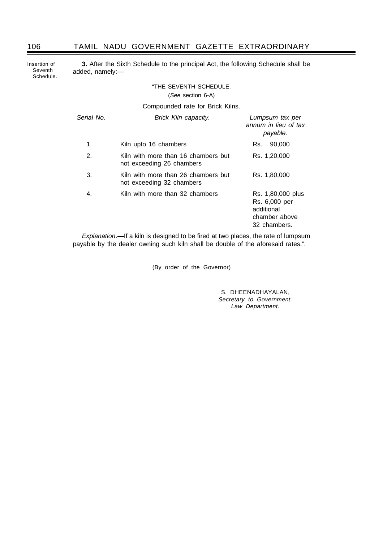## 106 TAMIL NADU GOVERNMENT GAZETTE EXTRAORDINARY

Insertion of Seventh Schedule.

**3.** After the Sixth Schedule to the principal Act, the following Schedule shall be added, namely:—

### "THE SEVENTH SCHEDULE.

(*See* section 6-A)

Compounded rate for Brick Kilns.

| Serial No. | Brick Kiln capacity.                                             | Lumpsum tax per<br>annum in lieu of tax<br>payable.                               |
|------------|------------------------------------------------------------------|-----------------------------------------------------------------------------------|
| 1.         | Kiln upto 16 chambers                                            | 90,000<br>Rs.                                                                     |
| 2.         | Kiln with more than 16 chambers but<br>not exceeding 26 chambers | Rs. 1,20,000                                                                      |
| 3.         | Kiln with more than 26 chambers but<br>not exceeding 32 chambers | Rs. 1,80,000                                                                      |
| 4.         | Kiln with more than 32 chambers                                  | Rs. 1,80,000 plus<br>Rs. 6,000 per<br>additional<br>chamber above<br>32 chambers. |

*Explanation*.—If a kiln is designed to be fired at two places, the rate of lumpsum payable by the dealer owning such kiln shall be double of the aforesaid rates.".

(By order of the Governor)

S. DHEENADHAYALAN, *Secretary to Government, Law Department.*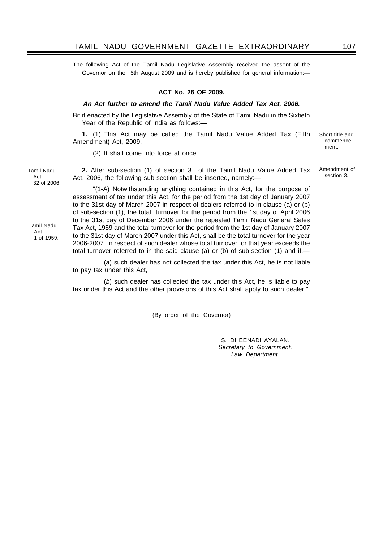The following Act of the Tamil Nadu Legislative Assembly received the assent of the Governor on the 5th August 2009 and is hereby published for general information:—

### **ACT No. 26 OF 2009.**

### *An Act further to amend the Tamil Nadu Value Added Tax Act, 2006.*

BE it enacted by the Legislative Assembly of the State of Tamil Nadu in the Sixtieth Year of the Republic of India as follows:—

**1.** (1) This Act may be called the Tamil Nadu Value Added Tax (Fifth Amendment) Act, 2009.

(2) It shall come into force at once.

**2.** After sub-section (1) of section 3 of the Tamil Nadu Value Added Tax Act, 2006, the following sub-section shall be inserted, namely:—

"(1-A) Notwithstanding anything contained in this Act, for the purpose of assessment of tax under this Act, for the period from the 1st day of January 2007 to the 31st day of March 2007 in respect of dealers referred to in clause (a) or (b) of sub-section (1), the total turnover for the period from the 1st day of April 2006 to the 31st day of December 2006 under the repealed Tamil Nadu General Sales Tax Act, 1959 and the total turnover for the period from the 1st day of January 2007 to the 31st day of March 2007 under this Act, shall be the total turnover for the year 2006-2007. In respect of such dealer whose total turnover for that year exceeds the total turnover referred to in the said clause (a) or (b) of sub-section (1) and if,—

(a) such dealer has not collected the tax under this Act, he is not liable to pay tax under this Act,

(*b*) such dealer has collected the tax under this Act, he is liable to pay tax under this Act and the other provisions of this Act shall apply to such dealer.".

(By order of the Governor)

S. DHEENADHAYALAN, *Secretary to Government, Law Department.*

Tamil Nadu Act 32 of 2006.

Tamil Nadu

**Act** 1 of 1959. Amendment of section 3.

Short title and commencement.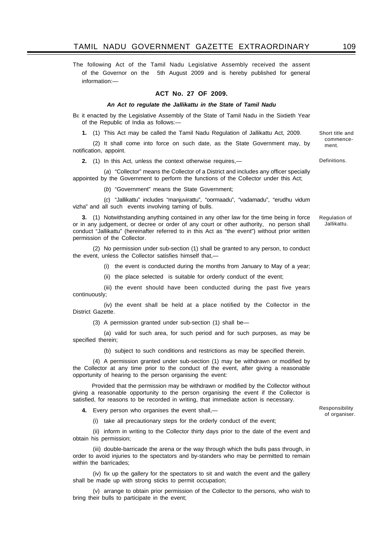The following Act of the Tamil Nadu Legislative Assembly received the assent of the Governor on the 5th August 2009 and is hereby published for general information:—

#### **ACT No. 27 OF 2009.**

#### *An Act to regulate the Jallikattu in the State of Tamil Nadu*

BE it enacted by the Legislative Assembly of the State of Tamil Nadu in the Sixtieth Year of the Republic of India as follows:-

**1.** (1) This Act may be called the Tamil Nadu Regulation of Jallikattu Act, 2009.

(2) It shall come into force on such date, as the State Government may, by notification, appoint.

**2.** (1) In this Act, unless the context otherwise requires,—

(*a*) "Collector" means the Collector of a District and includes any officer specially appointed by the Government to perform the functions of the Collector under this Act;

(*b*) "Government" means the State Government;

(*c*) "Jallikattu" includes "manjuvirattu", "oormaadu", "vadamadu", "erudhu vidum vizha" and all such events involving taming of bulls.

**3.** (1) Notwithstanding anything contained in any other law for the time being in force or in any judgement, or decree or order of any court or other authority, no person shall conduct "Jallikattu" (hereinafter referred to in this Act as "the event") without prior written permission of the Collector.

(2) No permission under sub-section (1) shall be granted to any person, to conduct the event, unless the Collector satisfies himself that,—

(i) the event is conducted during the months from January to May of a year;

(ii) the place selected is suitable for orderly conduct of the event;

(iii) the event should have been conducted during the past five years continuously;

(iv) the event shall be held at a place notified by the Collector in the District Gazette.

(3) A permission granted under sub-section (1) shall be—

(a) valid for such area, for such period and for such purposes, as may be specified therein;

(b) subject to such conditions and restrictions as may be specified therein.

(4) A permission granted under sub-section (1) may be withdrawn or modified by the Collector at any time prior to the conduct of the event, after giving a reasonable opportunity of hearing to the person organising the event:

 Provided that the permission may be withdrawn or modified by the Collector without giving a reasonable opportunity to the person organising the event if the Collector is satisfied, for reasons to be recorded in writing, that immediate action is necessary.

**4.** Every person who organises the event shall,—

Responsibility of organiser.

(i) take all precautionary steps for the orderly conduct of the event;

(ii) inform in writing to the Collector thirty days prior to the date of the event and obtain his permission;

(iii) double-barricade the arena or the way through which the bulls pass through, in order to avoid injuries to the spectators and by-standers who may be permitted to remain within the barricades;

(iv) fix up the gallery for the spectators to sit and watch the event and the gallery shall be made up with strong sticks to permit occupation;

(v) arrange to obtain prior permission of the Collector to the persons, who wish to bring their bulls to participate in the event;

Short title and commencement.

**Definitions** 

Regulation of Jallikattu.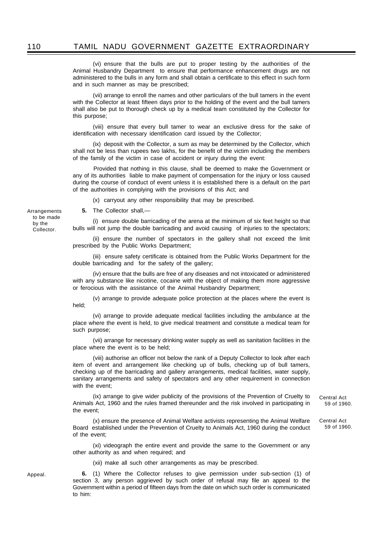(vi) ensure that the bulls are put to proper testing by the authorities of the Animal Husbandry Department to ensure that performance enhancement drugs are not administered to the bulls in any form and shall obtain a certificate to this effect in such form and in such manner as may be prescribed;

(vii) arrange to enroll the names and other particulars of the bull tamers in the event with the Collector at least fifteen days prior to the holding of the event and the bull tamers shall also be put to thorough check up by a medical team constituted by the Collector for this purpose;

(viii) ensure that every bull tamer to wear an exclusive dress for the sake of identification with necessary identification card issued by the Collector;

(ix) deposit with the Collector, a sum as may be determined by the Collector, which shall not be less than rupees two lakhs, for the benefit of the victim including the members of the family of the victim in case of accident or injury during the event:

 Provided that nothing in this clause, shall be deemed to make the Government or any of its authorities liable to make payment of compensation for the injury or loss caused during the course of conduct of event unless it is established there is a default on the part of the authorities in complying with the provisions of this Act; and

(x) carryout any other responsibility that may be prescribed.

**5.** The Collector shall,—

(i) ensure double barricading of the arena at the minimum of six feet height so that bulls will not jump the double barricading and avoid causing of injuries to the spectators;

(ii) ensure the number of spectators in the gallery shall not exceed the limit prescribed by the Public Works Department;

(iii) ensure safety certificate is obtained from the Public Works Department for the double barricading and for the safety of the gallery;

(iv) ensure that the bulls are free of any diseases and not intoxicated or administered with any substance like nicotine, cocaine with the object of making them more aggressive or ferocious with the assistance of the Animal Husbandry Department;

(v) arrange to provide adequate police protection at the places where the event is held;

(vi) arrange to provide adequate medical facilities including the ambulance at the place where the event is held, to give medical treatment and constitute a medical team for such purpose;

(vii) arrange for necessary drinking water supply as well as sanitation facilities in the place where the event is to be held;

(viii) authorise an officer not below the rank of a Deputy Collector to look after each item of event and arrangement like checking up of bulls, checking up of bull tamers, checking up of the barricading and gallery arrangements, medical facilities, water supply, sanitary arrangements and safety of spectators and any other requirement in connection with the event:

(ix) arrange to give wider publicity of the provisions of the Prevention of Cruelty to Animals Act, 1960 and the rules framed thereunder and the risk involved in participating in the event;

(x) ensure the presence of Animal Welfare activists representing the Animal Welfare Board established under the Prevention of Cruelty to Animals Act, 1960 during the conduct of the event;

(xi) videograph the entire event and provide the same to the Government or any other authority as and when required; and

(xii) make all such other arrangements as may be prescribed.

**6.** (1) Where the Collector refuses to give permission under sub-section (1) of section 3, any person aggrieved by such order of refusal may file an appeal to the Government within a period of fifteen days from the date on which such order is communicated to him:

Arrangements to be made by the Collector.

Appeal.

59 of 1960.

Central Act

Central Act 59 of 1960.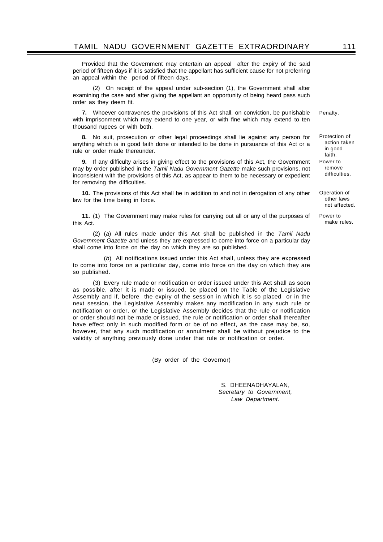Provided that the Government may entertain an appeal after the expiry of the said period of fifteen days if it is satisfied that the appellant has sufficient cause for not preferring an appeal within the period of fifteen days.

(2) On receipt of the appeal under sub-section (1), the Government shall after examining the case and after giving the appellant an opportunity of being heard pass such order as they deem fit.

**7.** Whoever contravenes the provisions of this Act shall, on conviction, be punishable with imprisonment which may extend to one year, or with fine which may extend to ten thousand rupees or with both. Penalty.

**8.** No suit, prosecution or other legal proceedings shall lie against any person for anything which is in good faith done or intended to be done in pursuance of this Act or a rule or order made thereunder.

**9.** If any difficulty arises in giving effect to the provisions of this Act, the Government may by order published in the *Tamil Nadu Government Gazette* make such provisions, not inconsistent with the provisions of this Act, as appear to them to be necessary or expedient for removing the difficulties.

**10.** The provisions of this Act shall be in addition to and not in derogation of any other law for the time being in force.

**11.** (1) The Government may make rules for carrying out all or any of the purposes of this Act.

(2) (*a*) All rules made under this Act shall be published in the *Tamil Nadu Government Gazette* and unless they are expressed to come into force on a particular day shall come into force on the day on which they are so published.

(*b*) All notifications issued under this Act shall, unless they are expressed to come into force on a particular day, come into force on the day on which they are so published.

(3) Every rule made or notification or order issued under this Act shall as soon as possible, after it is made or issued, be placed on the Table of the Legislative Assembly and if, before the expiry of the session in which it is so placed or in the next session, the Legislative Assembly makes any modification in any such rule or notification or order, or the Legislative Assembly decides that the rule or notification or order should not be made or issued, the rule or notification or order shall thereafter have effect only in such modified form or be of no effect, as the case may be, so, however, that any such modification or annulment shall be without prejudice to the validity of anything previously done under that rule or notification or order.

(By order of the Governor)

S. DHEENADHAYALAN, *Secretary to Government, Law Department.*

Protection of action taken in good

faith. Power to remove difficulties.

Operation of other laws not affected.

Power to make rules.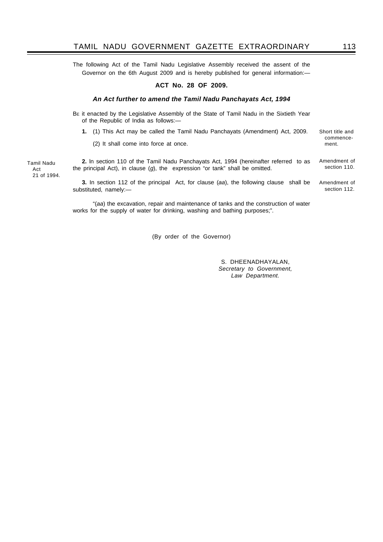The following Act of the Tamil Nadu Legislative Assembly received the assent of the Governor on the 6th August 2009 and is hereby published for general information:—

### **ACT No. 28 OF 2009.**

### *An Act further to amend the Tamil Nadu Panchayats Act, 1994*

BE it enacted by the Legislative Assembly of the State of Tamil Nadu in the Sixtieth Year of the Republic of India as follows:—

**1.** (1) This Act may be called the Tamil Nadu Panchayats (Amendment) Act, 2009.

(2) It shall come into force at once.

Tamil Nadu Act 21 of 1994.

**2.** ln section 110 of the Tamil Nadu Panchayats Act, 1994 (hereinafter referred to as the principal Act), in clause (*g*), the expression "or tank" shall be omitted. Amendment of section 110.

**3.** In section 112 of the principal Act, for clause (*aa*), the following clause shall be substituted, namely:— Amendment of

"(*aa*) the excavation, repair and maintenance of tanks and the construction of water works for the supply of water for drinking, washing and bathing purposes;".

(By order of the Governor)

S. DHEENADHAYALAN, *Secretary to Government, Law Department.*

Short title and commencement.

section 112.